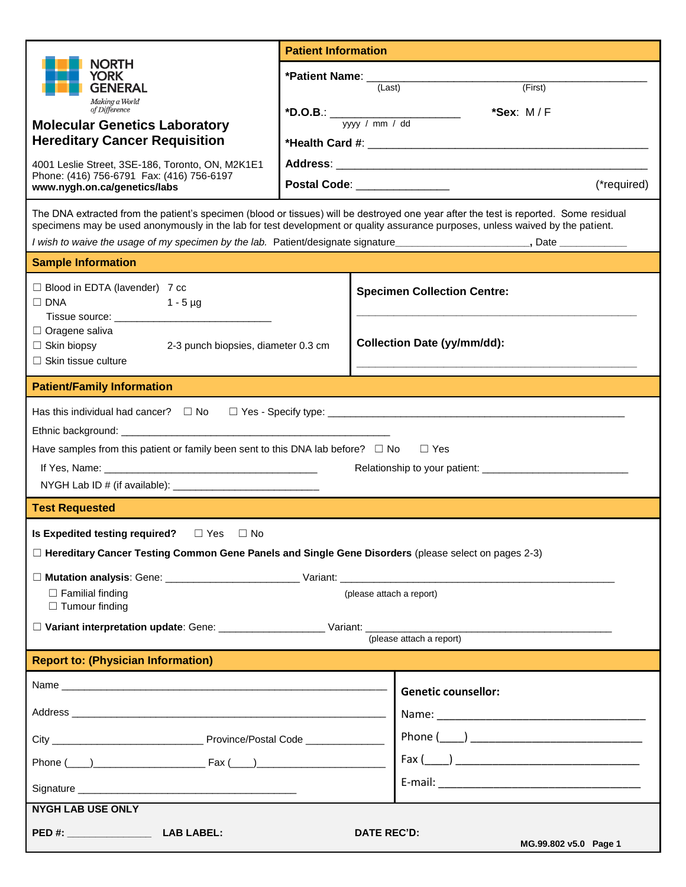| <b>NORTH</b><br><b>YORK</b><br><b>GENERAL</b>                                                                                                                                                                                                                           | <b>Patient Information</b> |                                                                   |  |  |  |  |
|-------------------------------------------------------------------------------------------------------------------------------------------------------------------------------------------------------------------------------------------------------------------------|----------------------------|-------------------------------------------------------------------|--|--|--|--|
|                                                                                                                                                                                                                                                                         | (First)<br>(Last)          |                                                                   |  |  |  |  |
| Making a World<br>of Difference<br><b>Molecular Genetics Laboratory</b><br><b>Hereditary Cancer Requisition</b>                                                                                                                                                         |                            | *D.O.B.: _________________________<br>*Sex: M/F<br>yyyy / mm / dd |  |  |  |  |
| 4001 Leslie Street, 3SE-186, Toronto, ON, M2K1E1                                                                                                                                                                                                                        |                            |                                                                   |  |  |  |  |
| Phone: (416) 756-6791 Fax: (416) 756-6197<br>www.nygh.on.ca/genetics/labs                                                                                                                                                                                               |                            | (*required)<br>Postal Code: _______________                       |  |  |  |  |
| The DNA extracted from the patient's specimen (blood or tissues) will be destroyed one year after the test is reported. Some residual<br>specimens may be used anonymously in the lab for test development or quality assurance purposes, unless waived by the patient. |                            |                                                                   |  |  |  |  |
| <b>Sample Information</b>                                                                                                                                                                                                                                               |                            |                                                                   |  |  |  |  |
| $\Box$ Blood in EDTA (lavender) 7 cc<br>$\Box$ DNA<br>$1 - 5 \mu g$                                                                                                                                                                                                     |                            | <b>Specimen Collection Centre:</b>                                |  |  |  |  |
| $\Box$ Oragene saliva<br>$\Box$ Skin biopsy<br>2-3 punch biopsies, diameter 0.3 cm<br>$\Box$ Skin tissue culture                                                                                                                                                        |                            | <b>Collection Date (yy/mm/dd):</b>                                |  |  |  |  |
| <b>Patient/Family Information</b>                                                                                                                                                                                                                                       |                            |                                                                   |  |  |  |  |
| Have samples from this patient or family been sent to this DNA lab before? $\Box$ No $\Box$ Yes                                                                                                                                                                         |                            |                                                                   |  |  |  |  |
| <b>Test Requested</b>                                                                                                                                                                                                                                                   |                            |                                                                   |  |  |  |  |
| Is Expedited testing required? $\square$ Yes $\square$ No                                                                                                                                                                                                               |                            |                                                                   |  |  |  |  |
| □ Hereditary Cancer Testing Common Gene Panels and Single Gene Disorders (please select on pages 2-3)                                                                                                                                                                   |                            |                                                                   |  |  |  |  |
| $\Box$ Familial finding<br>(please attach a report)<br>$\Box$ Tumour finding                                                                                                                                                                                            |                            |                                                                   |  |  |  |  |
|                                                                                                                                                                                                                                                                         |                            |                                                                   |  |  |  |  |
| (please attach a report)                                                                                                                                                                                                                                                |                            |                                                                   |  |  |  |  |
| <b>Report to: (Physician Information)</b>                                                                                                                                                                                                                               |                            |                                                                   |  |  |  |  |
|                                                                                                                                                                                                                                                                         |                            | <b>Genetic counsellor:</b>                                        |  |  |  |  |
|                                                                                                                                                                                                                                                                         |                            |                                                                   |  |  |  |  |
|                                                                                                                                                                                                                                                                         |                            |                                                                   |  |  |  |  |
|                                                                                                                                                                                                                                                                         |                            |                                                                   |  |  |  |  |
|                                                                                                                                                                                                                                                                         |                            |                                                                   |  |  |  |  |
| <b>NYGH LAB USE ONLY</b>                                                                                                                                                                                                                                                |                            |                                                                   |  |  |  |  |
| DATE REC'D:<br>MG.99.802 v5.0 Page 1                                                                                                                                                                                                                                    |                            |                                                                   |  |  |  |  |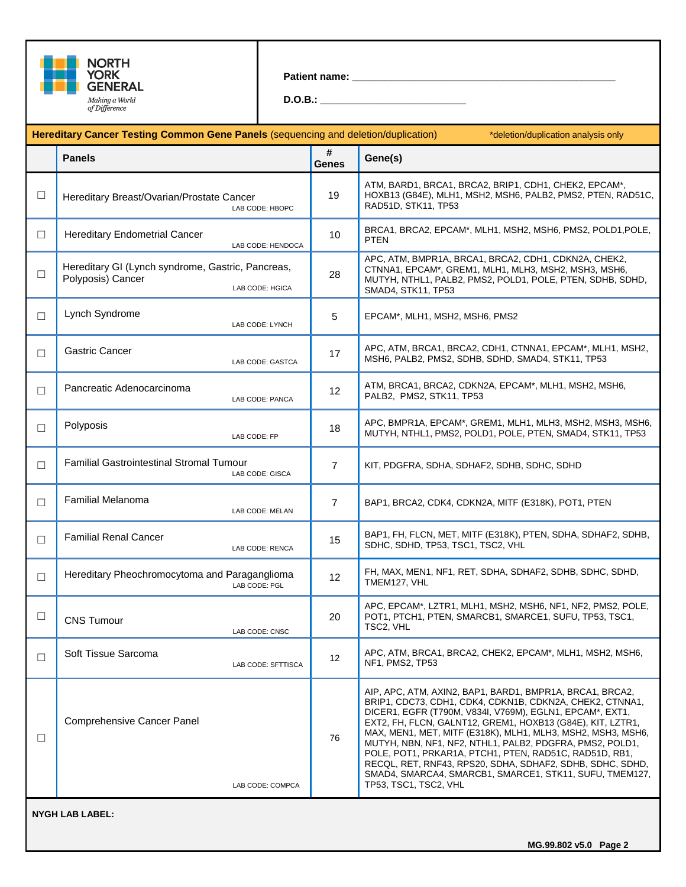

 **Patient name: \_\_\_\_\_\_\_\_\_\_\_\_\_\_\_\_\_\_\_\_\_\_\_\_\_\_\_\_\_\_\_\_\_\_\_\_\_\_\_\_\_\_\_\_\_\_\_**

 **D.O.B.: \_\_\_\_\_\_\_\_\_\_\_\_\_\_\_\_\_\_\_\_\_\_\_\_\_\_**

**Hereditary Cancer Testing Common Gene Panels** (sequencing and deletion/duplication) \*\*\*\*\*\*\*\*\*\*\*\*\*\*\*\*\*\*\*\*\*\*\*\*\*\*\*\*\*\* **Panels # Genes Gene(s)** □ Hereditary Breast/Ovarian/Prostate Cancer LAB CODE: HBOPC 19 ATM, BARD1, BRCA1, BRCA2, BRIP1, CDH1, CHEK2, EPCAM\*, HOXB13 (G84E), MLH1, MSH2, MSH6, PALB2, PMS2, PTEN, RAD51C, RAD51D, STK11, TP53 □ Hereditary Endometrial Cancer LAB CODE: HENDOCA 10 BRCA1, BRCA2, EPCAM\*, MLH1, MSH2, MSH6, PMS2, POLD1, POLE, PTEN ☐ Hereditary GI (Lynch syndrome, Gastric, Pancreas, Polyposis) Cancer LAB CODE: HGICA 28 APC, ATM, BMPR1A, BRCA1, BRCA2, CDH1, CDKN2A, CHEK2, CTNNA1, EPCAM\*, GREM1, MLH1, MLH3, MSH2, MSH3, MSH6, MUTYH, NTHL1, PALB2, PMS2, POLD1, POLE, PTEN, SDHB, SDHD, SMAD4, STK11, TP53 □ Lynch Syndrome LAB CODE: LYNCH 5 EPCAM\*, MLH1, MSH2, MSH6, PMS2 □ Gastric Cancer LAB CODE: GASTCA 17 APC, ATM, BRCA1, BRCA2, CDH1, CTNNA1, EPCAM\*, MLH1, MSH2, MSH6, PALB2, PMS2, SDHB, SDHD, SMAD4, STK11, TP53 □ Pancreatic Adenocarcinoma LAB CODE: PANCA 12 ATM, BRCA1, BRCA2, CDKN2A, EPCAM\*, MLH1, MSH2, MSH6, PALB2, PMS2, STK11, TP53  $\Box$  Polyposis LAB CODE: FP 18 APC, BMPR1A, EPCAM\*, GREM1, MLH1, MLH3, MSH2, MSH3, MSH6, MUTYH, NTHL1, PMS2, POLD1, POLE, PTEN, SMAD4, STK11, TP53 □ Familial Gastrointestinal Stromal Tumour LAB CODE: GISCA 7 KIT, PDGFRA, SDHA, SDHAF2, SDHB, SDHC, SDHD □ Familial Melanoma LAB CODE: MELAN 7 BAP1, BRCA2, CDK4, CDKN2A, MITF (E318K), POT1, PTEN □ Familial Renal Cancer LAB CODE: RENCA 15 BAP1, FH, FLCN, MET, MITF (E318K), PTEN, SDHA, SDHAF2, SDHB, SDHC, SDHD, TP53, TSC1, TSC2, VHL  $\Box$  Hereditary Pheochromocytoma and Paraganglioma LAB CODE: PGL **FH, MAX, MEN1, NF1, RET, SDHA, SDHAF2, SDHB, SDHC, SDHD,** TMEM127, VHL ☐ CNS Tumour LAB CODE: CNSC 20 APC, EPCAM\*, LZTR1, MLH1, MSH2, MSH6, NF1, NF2, PMS2, POLE, POT1, PTCH1, PTEN, SMARCB1, SMARCE1, SUFU, TP53, TSC1, TSC2, VHL □ Soft Tissue Sarcoma LAB CODE: SFTTISCA  $12$  APC, ATM, BRCA1, BRCA2, CHEK2, EPCAM\*, MLH1, MSH2, MSH6, NF1, PMS2, TP53 ☐ Comprehensive Cancer Panel LAB CODE: COMPCA 76 AIP, APC, ATM, AXIN2, BAP1, BARD1, BMPR1A, BRCA1, BRCA2, BRIP1, CDC73, CDH1, CDK4, CDKN1B, CDKN2A, CHEK2, CTNNA1, DICER1, EGFR (T790M, V834I, V769M), EGLN1, EPCAM\*, EXT1, EXT2, FH, FLCN, GALNT12, GREM1, HOXB13 (G84E), KIT, LZTR1, MAX, MEN1, MET, MITF (E318K), MLH1, MLH3, MSH2, MSH3, MSH6, MUTYH, NBN, NF1, NF2, NTHL1, PALB2, PDGFRA, PMS2, POLD1, POLE, POT1, PRKAR1A, PTCH1, PTEN, RAD51C, RAD51D, RB1, RECQL, RET, RNF43, RPS20, SDHA, SDHAF2, SDHB, SDHC, SDHD, SMAD4, SMARCA4, SMARCB1, SMARCE1, STK11, SUFU, TMEM127, TP53, TSC1, TSC2, VHL

**NYGH LAB LABEL:**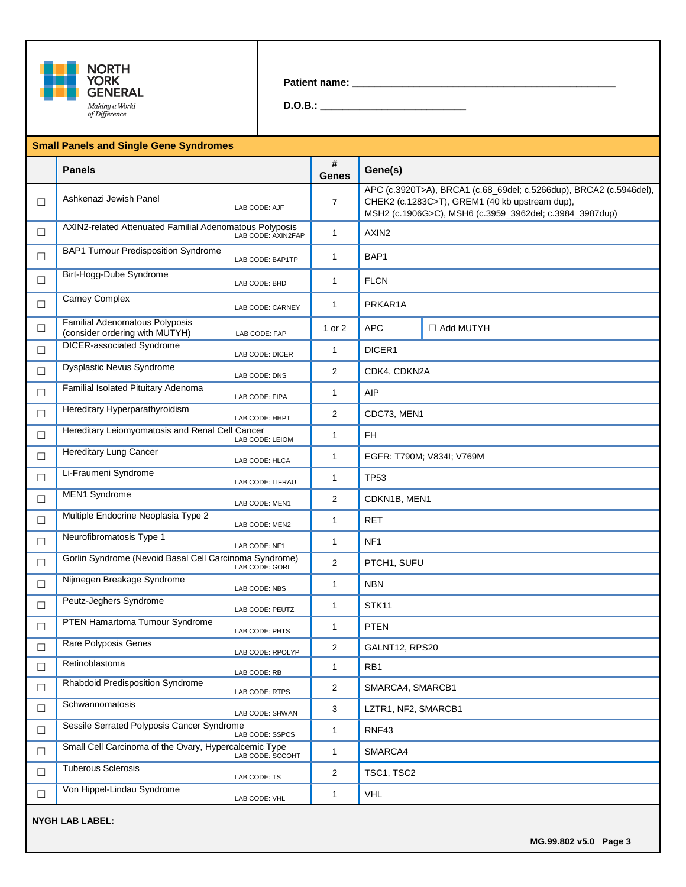

 **Patient name: \_\_\_\_\_\_\_\_\_\_\_\_\_\_\_\_\_\_\_\_\_\_\_\_\_\_\_\_\_\_\_\_\_\_\_\_\_\_\_\_\_\_\_\_\_\_\_**

 **D.O.B.: \_\_\_\_\_\_\_\_\_\_\_\_\_\_\_\_\_\_\_\_\_\_\_\_\_\_**

|        | <b>Small Panels and Single Gene Syndromes</b>                    |                    |                   |                                                                                                                                                                                 |  |  |  |
|--------|------------------------------------------------------------------|--------------------|-------------------|---------------------------------------------------------------------------------------------------------------------------------------------------------------------------------|--|--|--|
|        | <b>Panels</b>                                                    |                    | #<br><b>Genes</b> | Gene(s)                                                                                                                                                                         |  |  |  |
| $\Box$ | Ashkenazi Jewish Panel                                           | LAB CODE: AJF      | $\overline{7}$    | APC (c.3920T>A), BRCA1 (c.68_69del; c.5266dup), BRCA2 (c.5946del),<br>CHEK2 (c.1283C>T), GREM1 (40 kb upstream dup),<br>MSH2 (c.1906G>C), MSH6 (c.3959_3962del; c.3984_3987dup) |  |  |  |
| $\Box$ | AXIN2-related Attenuated Familial Adenomatous Polyposis          | LAB CODE: AXIN2FAP | $\mathbf{1}$      | AXIN <sub>2</sub>                                                                                                                                                               |  |  |  |
| $\Box$ | BAP1 Tumour Predisposition Syndrome                              | LAB CODE: BAP1TP   | $\mathbf{1}$      | BAP1                                                                                                                                                                            |  |  |  |
| $\Box$ | Birt-Hogg-Dube Syndrome                                          | LAB CODE: BHD      | $\mathbf{1}$      | <b>FLCN</b>                                                                                                                                                                     |  |  |  |
| □      | Carney Complex                                                   | LAB CODE: CARNEY   | 1                 | PRKAR1A                                                                                                                                                                         |  |  |  |
| □      | Familial Adenomatous Polyposis<br>(consider ordering with MUTYH) | LAB CODE: FAP      | 1 or 2            | <b>APC</b><br>$\Box$ Add MUTYH                                                                                                                                                  |  |  |  |
| $\Box$ | <b>DICER-associated Syndrome</b>                                 | LAB CODE: DICER    | $\mathbf{1}$      | DICER1                                                                                                                                                                          |  |  |  |
| $\Box$ | <b>Dysplastic Nevus Syndrome</b>                                 | LAB CODE: DNS      | $\overline{2}$    | CDK4, CDKN2A                                                                                                                                                                    |  |  |  |
| $\Box$ | Familial Isolated Pituitary Adenoma                              | LAB CODE: FIPA     | $\mathbf{1}$      | AIP                                                                                                                                                                             |  |  |  |
| $\Box$ | Hereditary Hyperparathyroidism                                   | LAB CODE: HHPT     | 2                 | CDC73, MEN1                                                                                                                                                                     |  |  |  |
| $\Box$ | Hereditary Leiomyomatosis and Renal Cell Cancer                  | LAB CODE: LEIOM    | $\mathbf{1}$      | <b>FH</b>                                                                                                                                                                       |  |  |  |
| □      | Hereditary Lung Cancer                                           | LAB CODE: HLCA     | $\mathbf{1}$      | EGFR: T790M; V834I; V769M                                                                                                                                                       |  |  |  |
| $\Box$ | Li-Fraumeni Syndrome                                             | LAB CODE: LIFRAU   | 1                 | <b>TP53</b>                                                                                                                                                                     |  |  |  |
| $\Box$ | MEN1 Syndrome                                                    | LAB CODE: MEN1     | $\overline{2}$    | CDKN1B, MEN1                                                                                                                                                                    |  |  |  |
| □      | Multiple Endocrine Neoplasia Type 2                              | LAB CODE: MEN2     | $\mathbf{1}$      | <b>RET</b>                                                                                                                                                                      |  |  |  |
| $\Box$ | Neurofibromatosis Type 1                                         | LAB CODE: NF1      | $\mathbf{1}$      | NF <sub>1</sub>                                                                                                                                                                 |  |  |  |
| $\Box$ | Gorlin Syndrome (Nevoid Basal Cell Carcinoma Syndrome)           | LAB CODE: GORL     | 2                 | PTCH1, SUFU                                                                                                                                                                     |  |  |  |
| $\Box$ | Nijmegen Breakage Syndrome                                       | LAB CODE: NBS      | 1                 | <b>NBN</b>                                                                                                                                                                      |  |  |  |
| $\Box$ | Peutz-Jeghers Syndrome                                           | LAB CODE: PEUTZ    | $\mathbf{1}$      | STK11                                                                                                                                                                           |  |  |  |
| $\Box$ | <b>PTEN Hamartoma Tumour Syndrome</b>                            | LAB CODE: PHTS     | 1                 | <b>PTEN</b>                                                                                                                                                                     |  |  |  |
| □      | Rare Polyposis Genes                                             | LAB CODE: RPOLYP   | $\overline{2}$    | GALNT12, RPS20                                                                                                                                                                  |  |  |  |
| $\Box$ | Retinoblastoma                                                   | LAB CODE: RB       | 1                 | RB <sub>1</sub>                                                                                                                                                                 |  |  |  |
| □      | Rhabdoid Predisposition Syndrome                                 | LAB CODE: RTPS     | $\overline{2}$    | SMARCA4, SMARCB1                                                                                                                                                                |  |  |  |
| $\Box$ | Schwannomatosis                                                  | LAB CODE: SHWAN    | 3                 | LZTR1, NF2, SMARCB1                                                                                                                                                             |  |  |  |
| $\Box$ | Sessile Serrated Polyposis Cancer Syndrome                       | LAB CODE: SSPCS    | $\mathbf{1}$      | RNF43                                                                                                                                                                           |  |  |  |
| $\Box$ | Small Cell Carcinoma of the Ovary, Hypercalcemic Type            | LAB CODE: SCCOHT   | $\mathbf{1}$      | SMARCA4                                                                                                                                                                         |  |  |  |
| $\Box$ | <b>Tuberous Sclerosis</b>                                        | LAB CODE: TS       | $\overline{2}$    | TSC1, TSC2                                                                                                                                                                      |  |  |  |
| □      | Von Hippel-Lindau Syndrome                                       | LAB CODE: VHL      | $\mathbf{1}$      | VHL                                                                                                                                                                             |  |  |  |

**NYGH LAB LABEL:**